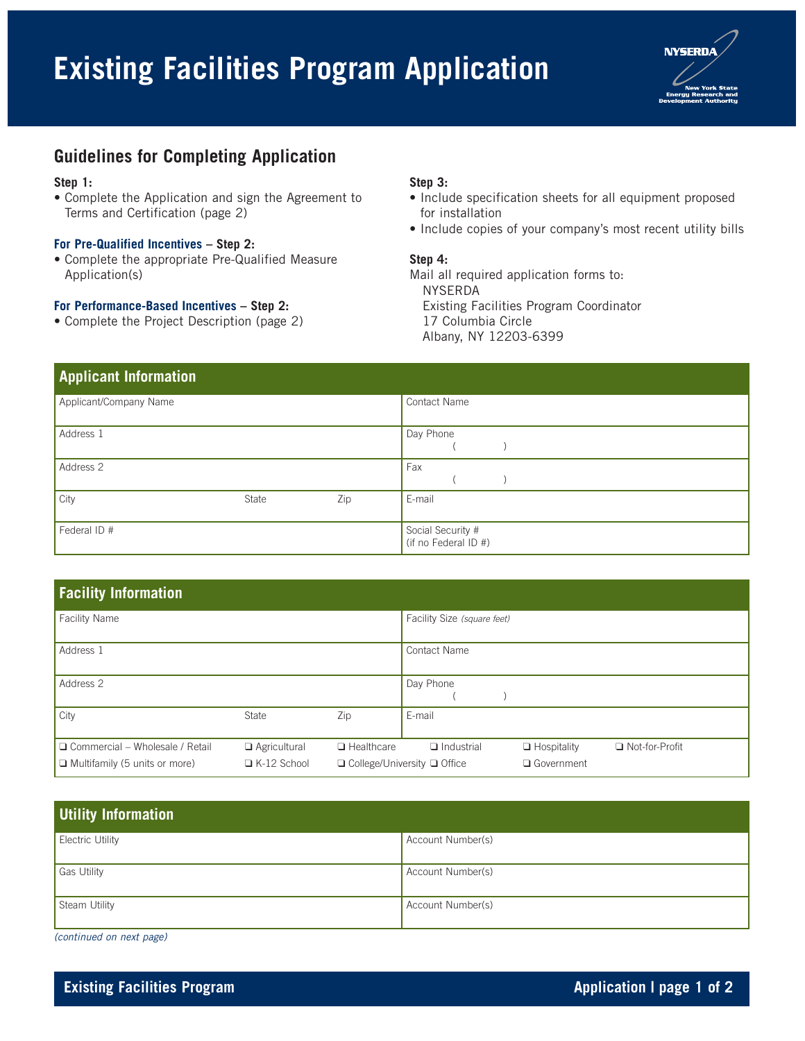# **Existing Facilities Program Application**



## **Guidelines for Completing Application**

#### **Step 1:**

• Complete the Application and sign the Agreement to Terms and Certification (page 2)

#### **For Pre-Qualified Incentives – Step 2:**

• Complete the appropriate Pre-Qualified Measure Application(s)

#### **For Performance-Based Incentives – Step 2:**

• Complete the Project Description (page 2)

#### **Step 3:**

- Include specification sheets for all equipment proposed for installation
- Include copies of your company's most recent utility bills

#### **Step 4:**

Mail all required application forms to: NYSERDA Existing Facilities Program Coordinator 17 Columbia Circle Albany, NY 12203-6399

| <b>Applicant Information</b> |       |     |                                           |
|------------------------------|-------|-----|-------------------------------------------|
| Applicant/Company Name       |       |     | Contact Name                              |
| Address 1                    |       |     | Day Phone                                 |
| Address 2                    |       |     | Fax                                       |
| City                         | State | Zip | E-mail                                    |
| Federal ID #                 |       |     | Social Security #<br>(if no Federal ID #) |

| <b>Facility Information</b>            |                     |                   |                                         |                    |                  |  |
|----------------------------------------|---------------------|-------------------|-----------------------------------------|--------------------|------------------|--|
| <b>Facility Name</b>                   |                     |                   | Facility Size (square feet)             |                    |                  |  |
| Address 1                              |                     |                   | Contact Name                            |                    |                  |  |
| Address 2                              |                     |                   | Day Phone                               |                    |                  |  |
| City                                   | State               | Zip               | E-mail                                  |                    |                  |  |
| $\Box$ Commercial – Wholesale / Retail | $\Box$ Agricultural | $\Box$ Healthcare | $\Box$ Industrial                       | $\Box$ Hospitality | □ Not-for-Profit |  |
| $\Box$ Multifamily (5 units or more)   | $\Box$ K-12 School  |                   | $\Box$ College/University $\Box$ Office | □ Government       |                  |  |

| Utility Information     |                   |
|-------------------------|-------------------|
| <b>Electric Utility</b> | Account Number(s) |
| Gas Utility             | Account Number(s) |
| Steam Utility           | Account Number(s) |

(continued on next page)